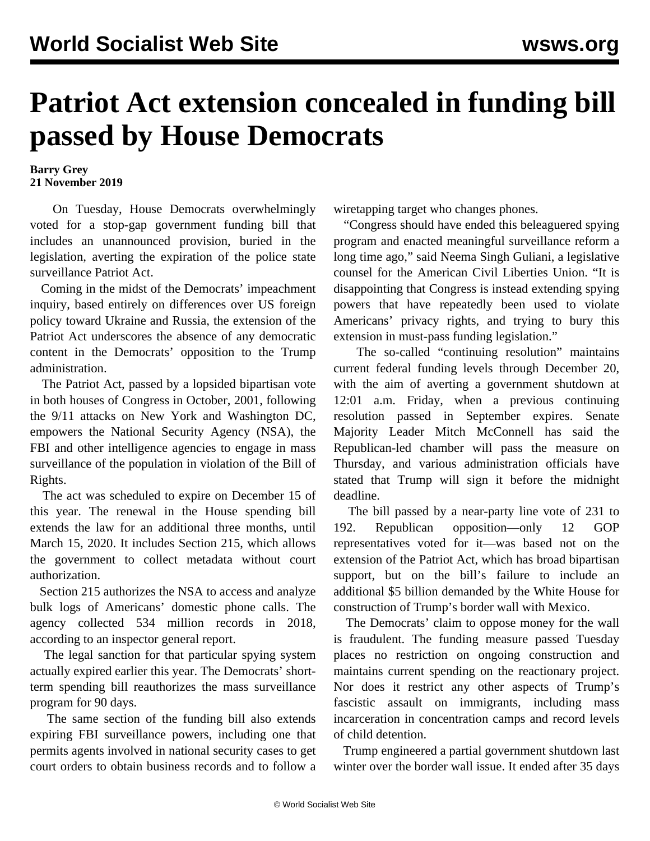## **Patriot Act extension concealed in funding bill passed by House Democrats**

## **Barry Grey 21 November 2019**

 On Tuesday, House Democrats overwhelmingly voted for a stop-gap government funding bill that includes an unannounced provision, buried in the legislation, averting the expiration of the police state surveillance Patriot Act.

 Coming in the midst of the Democrats' impeachment inquiry, based entirely on differences over US foreign policy toward Ukraine and Russia, the extension of the Patriot Act underscores the absence of any democratic content in the Democrats' opposition to the Trump administration.

 The Patriot Act, passed by a lopsided bipartisan vote in both houses of Congress in October, 2001, following the 9/11 attacks on New York and Washington DC, empowers the National Security Agency (NSA), the FBI and other intelligence agencies to engage in mass surveillance of the population in violation of the Bill of Rights.

 The act was scheduled to expire on December 15 of this year. The renewal in the House spending bill extends the law for an additional three months, until March 15, 2020. It includes Section 215, which allows the government to collect metadata without court authorization.

 Section 215 authorizes the NSA to access and analyze bulk logs of Americans' domestic phone calls. The agency collected 534 million records in 2018, according to an inspector general report.

 The legal sanction for that particular spying system actually expired earlier this year. The Democrats' shortterm spending bill reauthorizes the mass surveillance program for 90 days.

 The same section of the funding bill also extends expiring FBI surveillance powers, including one that permits agents involved in national security cases to get court orders to obtain business records and to follow a

wiretapping target who changes phones.

 "Congress should have ended this beleaguered spying program and enacted meaningful surveillance reform a long time ago," said Neema Singh Guliani, a legislative counsel for the American Civil Liberties Union. "It is disappointing that Congress is instead extending spying powers that have repeatedly been used to violate Americans' privacy rights, and trying to bury this extension in must-pass funding legislation."

 The so-called "continuing resolution" maintains current federal funding levels through December 20, with the aim of averting a government shutdown at 12:01 a.m. Friday, when a previous continuing resolution passed in September expires. Senate Majority Leader Mitch McConnell has said the Republican-led chamber will pass the measure on Thursday, and various administration officials have stated that Trump will sign it before the midnight deadline.

 The bill passed by a near-party line vote of 231 to 192. Republican opposition—only 12 GOP representatives voted for it—was based not on the extension of the Patriot Act, which has broad bipartisan support, but on the bill's failure to include an additional \$5 billion demanded by the White House for construction of Trump's border wall with Mexico.

 The Democrats' claim to oppose money for the wall is fraudulent. The funding measure passed Tuesday places no restriction on ongoing construction and maintains current spending on the reactionary project. Nor does it restrict any other aspects of Trump's fascistic assault on immigrants, including mass incarceration in concentration camps and record levels of child detention.

 Trump engineered a partial government shutdown last winter over the border wall issue. It ended after 35 days